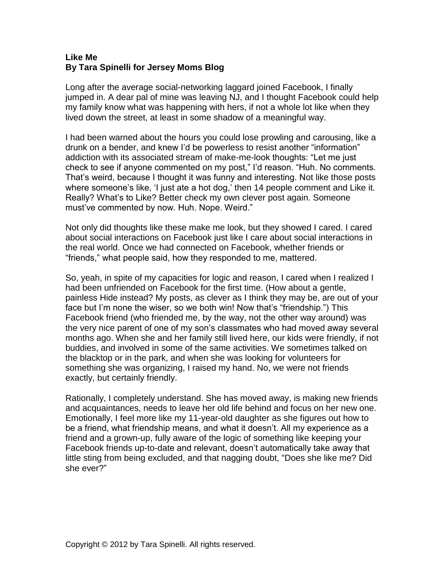## **Like Me By Tara Spinelli for Jersey Moms Blog**

Long after the average social-networking laggard joined Facebook, I finally jumped in. A dear pal of mine was leaving NJ, and I thought Facebook could help my family know what was happening with hers, if not a whole lot like when they lived down the street, at least in some shadow of a meaningful way.

I had been warned about the hours you could lose prowling and carousing, like a drunk on a bender, and knew I'd be powerless to resist another "information" addiction with its associated stream of make-me-look thoughts: "Let me just check to see if anyone commented on my post," I'd reason. "Huh. No comments. That's weird, because I thought it was funny and interesting. Not like those posts where someone's like, 'I just ate a hot dog,' then 14 people comment and Like it. Really? What's to Like? Better check my own clever post again. Someone must've commented by now. Huh. Nope. Weird."

Not only did thoughts like these make me look, but they showed I cared. I cared about social interactions on Facebook just like I care about social interactions in the real world. Once we had connected on Facebook, whether friends or "friends," what people said, how they responded to me, mattered.

So, yeah, in spite of my capacities for logic and reason, I cared when I realized I had been unfriended on Facebook for the first time. (How about a gentle, painless Hide instead? My posts, as clever as I think they may be, are out of your face but I'm none the wiser, so we both win! Now that's "friendship.") This Facebook friend (who friended me, by the way, not the other way around) was the very nice parent of one of my son's classmates who had moved away several months ago. When she and her family still lived here, our kids were friendly, if not buddies, and involved in some of the same activities. We sometimes talked on the blacktop or in the park, and when she was looking for volunteers for something she was organizing, I raised my hand. No, we were not friends exactly, but certainly friendly.

Rationally, I completely understand. She has moved away, is making new friends and acquaintances, needs to leave her old life behind and focus on her new one. Emotionally, I feel more like my 11-year-old daughter as she figures out how to be a friend, what friendship means, and what it doesn't. All my experience as a friend and a grown-up, fully aware of the logic of something like keeping your Facebook friends up-to-date and relevant, doesn't automatically take away that little sting from being excluded, and that nagging doubt, "Does she like me? Did she ever?"